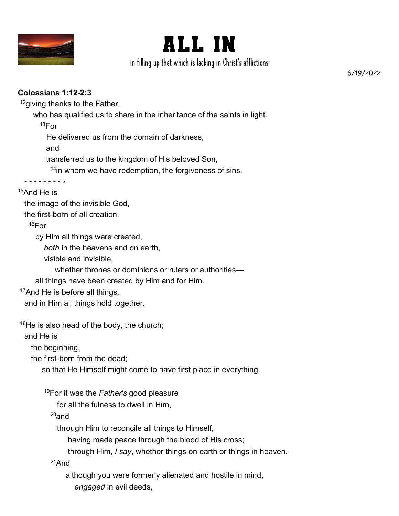



in filling up that which is lacking in Christ's afflictions

6/19/2022

## **Colossians 1:12-2:3**

<sup>12</sup>giving thanks to the Father,

who has qualified us to share in the inheritance of the saints in light.

 $13$ For

He delivered us from the domain of darkness,

and

transferred us to the kingdom of His beloved Son,

<sup>14</sup>in whom we have redemption, the forgiveness of sins.

 - - - - - - - - <sup>&</sup>gt;  $15$ And He is

the image of the invisible God,

the first-born of all creation.

 $16$ For

by Him all things were created,

*both* in the heavens and on earth,

visible and invisible,

whether thrones or dominions or rulers or authorities—

all things have been created by Him and for Him.

<sup>17</sup>And He is before all things,

and in Him all things hold together.

 $18$ He is also head of the body, the church;

and He is

the beginning,

the first-born from the dead;

so that He Himself might come to have first place in everything.

<sup>19</sup>For it was the *Father's* good pleasure

for all the fulness to dwell in Him,

 $20$ and

through Him to reconcile all things to Himself,

having made peace through the blood of His cross;

through Him, *I say*, whether things on earth or things in heaven.

<sup>21</sup>And

although you were formerly alienated and hostile in mind,

*engaged* in evil deeds,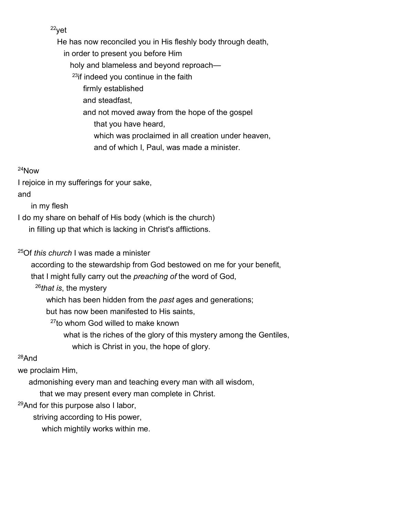<sup>22</sup>yet

 He has now reconciled you in His fleshly body through death, in order to present you before Him holy and blameless and beyond reproach— <sup>23</sup>if indeed you continue in the faith firmly established and steadfast, and not moved away from the hope of the gospel that you have heard, which was proclaimed in all creation under heaven, and of which I, Paul, was made a minister.

#### <sup>24</sup>Now

I rejoice in my sufferings for your sake,

and

in my flesh

I do my share on behalf of His body (which is the church)

in filling up that which is lacking in Christ's afflictions.

<sup>25</sup>Of *this church* I was made a minister

according to the stewardship from God bestowed on me for your benefit,

that I might fully carry out the *preaching of* the word of God,

<sup>26</sup>*that is*, the mystery

which has been hidden from the *past* ages and generations;

but has now been manifested to His saints,

<sup>27</sup>to whom God willed to make known

 what is the riches of the glory of this mystery among the Gentiles, which is Christ in you, the hope of glory.

## <sup>28</sup>And

we proclaim Him,

admonishing every man and teaching every man with all wisdom,

that we may present every man complete in Christ.

<sup>29</sup>And for this purpose also I labor,

striving according to His power,

which mightily works within me.